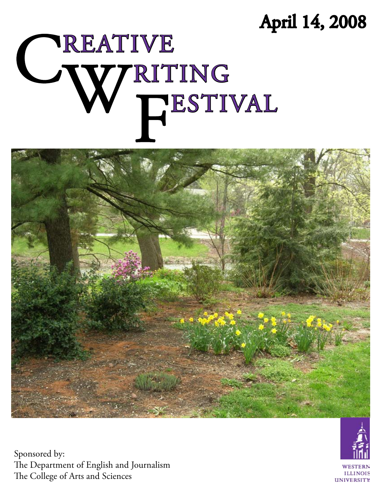# April 14, 2008

# CREATIVE W RITING FESTIVAL





Sponsored by: The Department of English and Journalism The College of Arts and Sciences

**ILLINOIS UNIVERSITY**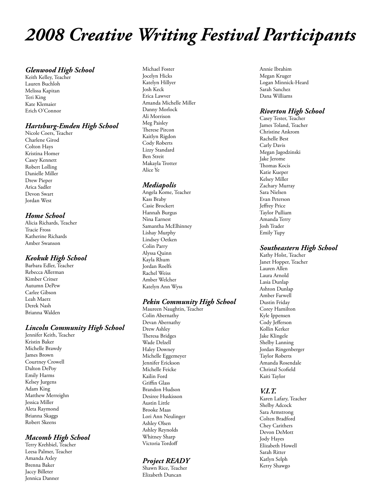# *2008 Creative Writing Festival Participants*

#### *Glenwood High School*

Keith Kelley, Teacher Lauren Buchloh Melissa Kapitan Teri King Kate Klemaier Erich O'Connor

#### *Hartsburg-Emden High School*

Nicole Coers, Teacher Charlene Girod Colton Hays Kristina Homer Casey Kennett Robert Lolling Danielle Miller Drew Pieper Arica Sadler Devon Swart Jordan West

#### *Home School*

Alicia Richards, Teacher Tracie Fross Katherine Richards Amber Swanson

#### *Keokuk High School*

Barbara Edler, Teacher Rebecca Allerman Kimber Critser Autumn DePew Carlee Gibson Leah Maerz Derek Nash Brianna Walden

#### *Lincoln Community High School*

Jennifer Keith, Teacher Kristin Baker Michelle Brawdy James Brown Courtney Crowell Dalton DePoy Emily Harms Kelsey Jurgens Adam King Matthew Merreighn Jessica Miller Aleta Raymond Brianna Skaggs Robert Skeens

### *Macomb High School*

Terry Krehbiel, Teacher Leesa Palmer, Teacher Amanda Axley Brenna Baker Jaccy Billeter Jennica Danner

Michael Foster Jocelyn Hicks Katelyn Hillyer Josh Keck Erica Lawver Amanda Michelle Miller Danny Morlock Ali Morrison Meg Paisley Therese Pircon Kaitlyn Rigdon Cody Roberts Lizzy Standard Ben Streit Makayla Trotter Alice Ye

#### *Mediapolis*

Angela Kome, Teacher Kass Braby Casie Brockert Hannah Burgus Nina Earnest Samantha McElhinney Lishay Murphy Lindsey Oetken Colin Parry Alyssa Quinn Kayla Rhum Jordan Roelfs Rachel Weiss Amber Welcher Katelyn Ann Wyss

#### *Pekin Community High School*

Maureen Naughtin, Teacher Colin Abernathy Devan Abernathy Drew Ashley Theresa Bridges Wade Delzell Haley Downey Michelle Eggemeyer Jennifer Erickson Michelle Feicke Kailin Ford Griffin Glass Brandon Hudson Desiree Huskisson Austin Little Brooke Maas Lori Ann Neulinger Ashley Olsen Ashley Reynolds Whitney Sharp Victoria Tordoff

#### *Project READY*

Shawn Rice, Teacher Elizabeth Duncan

Annie Ibrahim Megan Kruger Logan Minnick-Heard Sarah Sanchez Dana Williams

#### *Riverton High School*

Casey Tester, Teacher James Toland, Teacher Christine Ankrom Rachelle Best Carly Davis Megan Jagodzinski Jake Jerome Thomas Kocis Katie Kueper Kelsey Miller Zachary Murray Sara Nielsen Evan Peterson Jeffrey Price Taylor Pulliam Amanda Terry Josh Trader Emily Tupy

#### *Southeastern High School*

Kathy Holst, Teacher Janet Hopper, Teacher Lauren Allen Laura Arnold Lasia Dunlap Ashton Dunlap Amber Farwell Dustin Friday Corey Hamilton Kyle Ippensen Cody Jefferson Kollin Kerker Jake Klingele Shelby Lanning Jordan Ringenberger Taylor Roberts Amanda Rosendale Christal Scofield Kaiti Taylor

### *V.I.T.*

Karen Lafary, Teacher Shelby Adcock Sara Armstrong Colten Bradford Chey Carithers Devon DeMott Jody Hayes Elizabeth Howell Sarah Ritter Katlyn Selph Kerry Shawgo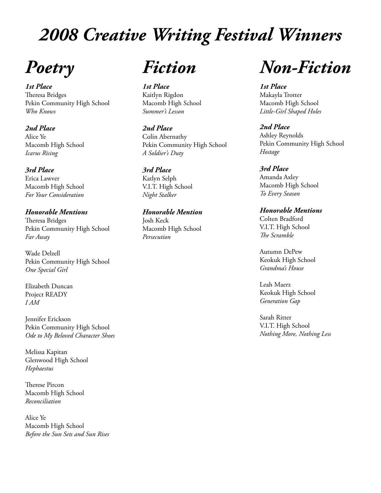# *2008 Creative Writing Festival Winners*

# *Poetry*

#### *1st Place*

Theresa Bridges Pekin Community High School *Who Knows*

### *2nd Place*

Alice Ye Macomb High School *Icarus Rising*

### *3rd Place*

Erica Lawver Macomb High School *For Your Consideration*

### *Honorable Mentions*

Theresa Bridges Pekin Community High School *Far Away*

Wade Delzell Pekin Community High School *One Special Girl*

Elizabeth Duncan Project READY *I AM*

Jennifer Erickson Pekin Community High School *Ode to My Beloved Character Shoes*

Melissa Kapitan Glenwood High School *Hephaestus*

Therese Pircon Macomb High School *Reconciliation*

Alice Ye Macomb High School *Before the Sun Sets and Sun Rises*

*Fiction*

*1st Place* Kaitlyn Rigdon Macomb High School *Summer's Lesson*

### *2nd Place*

Colin Abernathy Pekin Community High School *A Soldier's Duty*

### *3rd Place*

Katlyn Selph V.I.T. High School *Night Stalker*

### *Honorable Mention*

Josh Keck Macomb High School *Persecution*

# *Non-Fiction*

#### *1st Place* Makayla Trotter Macomb High School *Little-Girl Shaped Holes*

### *2nd Place*

Ashley Reynolds Pekin Community High School *Hostage*

### *3rd Place*

Amanda Axley Macomb High School *To Every Season*

#### *Honorable Mentions*

Colten Bradford V.I.T. High School *The Scramble*

Autumn DePew Keokuk High School *Grandma's House*

Leah Maerz Keokuk High School *Generation Gap*

Sarah Ritter V.I.T. High School *Nothing More, Nothing Less*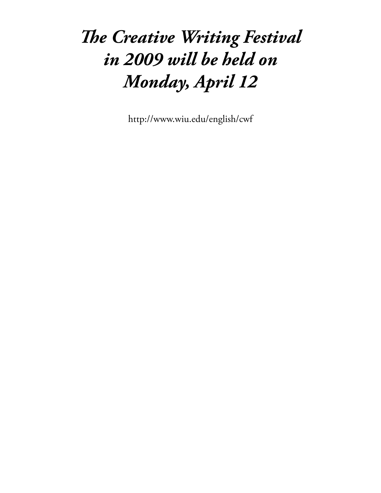# *The Creative Writing Festival in 2009 will be held on Monday, April 12*

http://www.wiu.edu/english/cwf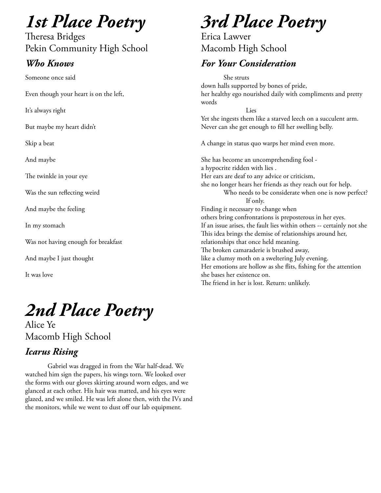# *1st Place Poetry*

Theresa Bridges Pekin Community High School

### *Who Knows*

Someone once said

Even though your heart is on the left,

It's always right

But maybe my heart didn't

Skip a beat

And maybe

The twinkle in your eye

Was the sun reflecting weird

And maybe the feeling

In my stomach

Was not having enough for breakfast

And maybe I just thought

It was love

# *2nd Place Poetry*

Alice Ye Macomb High School

# *Icarus Rising*

Gabriel was dragged in from the War half-dead. We watched him sign the papers, his wings torn. We looked over the forms with our gloves skirting around worn edges, and we glanced at each other. His hair was matted, and his eyes were glazed, and we smiled. He was left alone then, with the IVs and the monitors, while we went to dust off our lab equipment.

# *3rd Place Poetry*

Erica Lawver Macomb High School

# *For Your Consideration*

She struts down halls supported by bones of pride, her healthy ego nourished daily with compliments and pretty words Lies

Yet she ingests them like a starved leech on a succulent arm. Never can she get enough to fill her swelling belly.

A change in status quo warps her mind even more.

She has become an uncomprehending fool a hypocrite ridden with lies . Her ears are deaf to any advice or criticism, she no longer hears her friends as they reach out for help. Who needs to be considerate when one is now perfect? If only. Finding it necessary to change when others bring confrontations is preposterous in her eyes. If an issue arises, the fault lies within others -- certainly not she This idea brings the demise of relationships around her, relationships that once held meaning. The broken camaraderie is brushed away, like a clumsy moth on a sweltering July evening. Her emotions are hollow as she flits, fishing for the attention she bases her existence on. The friend in her is lost. Return: unlikely.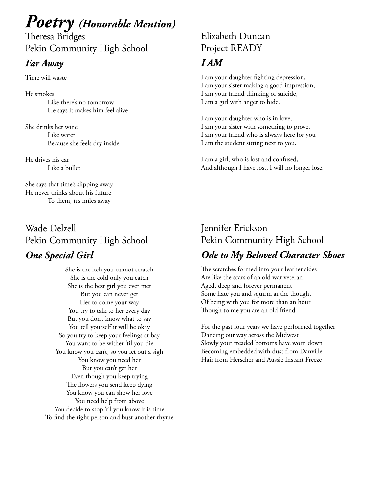# *Poetry (Honorable Mention)*

Theresa Bridges Pekin Community High School

### *Far Away*

Time will waste

He smokes Like there's no tomorrow He says it makes him feel alive

She drinks her wine Like water Because she feels dry inside

He drives his car Like a bullet

She says that time's slipping away He never thinks about his future To them, it's miles away

# Wade Delzell Pekin Community High School *One Special Girl*

She is the itch you cannot scratch She is the cold only you catch She is the best girl you ever met But you can never get Her to come your way You try to talk to her every day But you don't know what to say You tell yourself it will be okay So you try to keep your feelings at bay You want to be wither 'til you die You know you can't, so you let out a sigh You know you need her But you can't get her Even though you keep trying The flowers you send keep dying You know you can show her love You need help from above You decide to stop 'til you know it is time To find the right person and bust another rhyme

# Elizabeth Duncan Project READY

# *I AM*

I am your daughter fighting depression, I am your sister making a good impression, I am your friend thinking of suicide, I am a girl with anger to hide.

I am your daughter who is in love, I am your sister with something to prove, I am your friend who is always here for you I am the student sitting next to you.

I am a girl, who is lost and confused, And although I have lost, I will no longer lose.

# Jennifer Erickson Pekin Community High School *Ode to My Beloved Character Shoes*

The scratches formed into your leather sides Are like the scars of an old war veteran Aged, deep and forever permanent Some hate you and squirm at the thought Of being with you for more than an hour Though to me you are an old friend

For the past four years we have performed together Dancing our way across the Midwest Slowly your treaded bottoms have worn down Becoming embedded with dust from Danville Hair from Herscher and Aussie Instant Freeze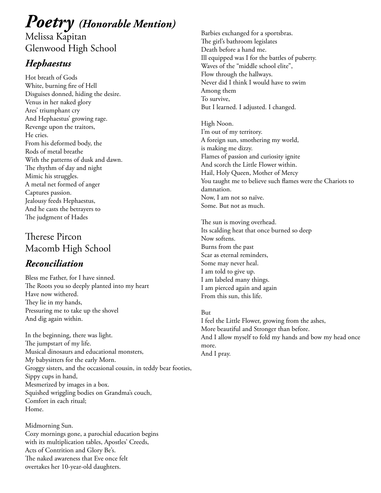# *Poetry (Honorable Mention)*

Melissa Kapitan Glenwood High School

# *Hephaestus*

Hot breath of Gods White, burning fire of Hell Disguises donned, hiding the desire. Venus in her naked glory Ares' triumphant cry And Hephaestus' growing rage. Revenge upon the traitors, He cries. From his deformed body, the Rods of metal breathe With the patterns of dusk and dawn. The rhythm of day and night Mimic his struggles. A metal net formed of anger Captures passion. Jealousy feeds Hephaestus, And he casts the betrayers to The judgment of Hades

# Therese Pircon Macomb High School

# *Reconciliation*

Bless me Father, for I have sinned. The Roots you so deeply planted into my heart Have now withered. They lie in my hands, Pressuring me to take up the shovel And dig again within.

In the beginning, there was light. The jumpstart of my life. Musical dinosaurs and educational monsters, My babysitters for the early Morn. Groggy sisters, and the occasional cousin, in teddy bear footies, Sippy cups in hand, Mesmerized by images in a box. Squished wriggling bodies on Grandma's couch, Comfort in each ritual; Home.

Midmorning Sun. Cozy mornings gone, a parochial education begins with its multiplication tables, Apostles' Creeds, Acts of Contrition and Glory Be's. The naked awareness that Eve once felt overtakes her 10-year-old daughters.

Barbies exchanged for a sportsbras. The girl's bathroom legislates Death before a hand me. Ill equipped was I for the battles of puberty. Waves of the "middle school elite", Flow through the hallways. Never did I think I would have to swim Among them To survive, But I learned. I adjusted. I changed.

High Noon. I'm out of my territory. A foreign sun, smothering my world, is making me dizzy. Flames of passion and curiosity ignite And scorch the Little Flower within. Hail, Holy Queen, Mother of Mercy You taught me to believe such flames were the Chariots to damnation. Now, I am not so naïve. Some. But not as much.

The sun is moving overhead. Its scalding heat that once burned so deep Now softens. Burns from the past Scar as eternal reminders, Some may never heal. I am told to give up. I am labeled many things. I am pierced again and again From this sun, this life.

### But

I feel the Little Flower, growing from the ashes, More beautiful and Stronger than before. And I allow myself to fold my hands and bow my head once more. And I pray.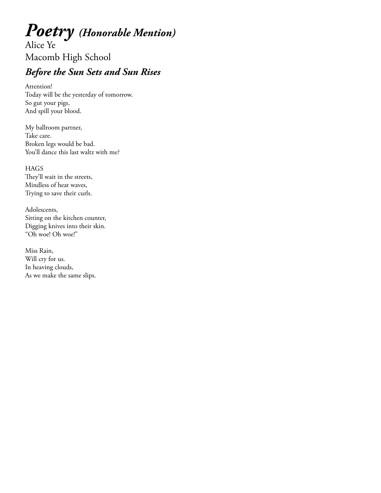# *Poetry (Honorable Mention)*

Alice Ye Macomb High School

# *Before the Sun Sets and Sun Rises*

Attention! Today will be the yesterday of tomorrow. So gut your pigs, And spill your blood.

My ballroom partner, Take care. Broken legs would be bad. You'll dance this last waltz with me?

**HAGS** They'll wait in the streets, Mindless of heat waves, Trying to save their curls.

Adolescents, Sitting on the kitchen counter, Digging knives into their skin. "Oh woe! Oh woe!"

Miss Rain, Will cry for us. In heaving clouds, As we make the same slips.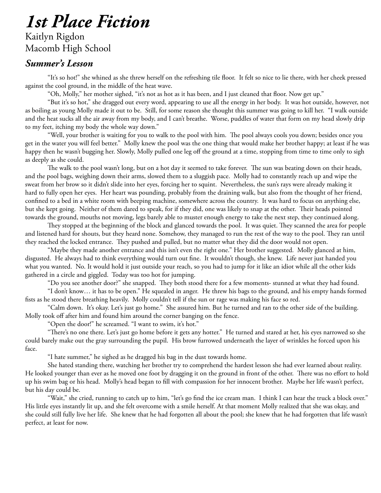# *1st Place Fiction*

# Kaitlyn Rigdon Macomb High School

### *Summer's Lesson*

"It's so hot!" she whined as she threw herself on the refreshing tile floor. It felt so nice to lie there, with her cheek pressed against the cool ground, in the middle of the heat wave.

"Oh, Molly," her mother sighed, "it's not as hot as it has been, and I just cleaned that floor. Now get up."

"But it's so hot," she dragged out every word, appearing to use all the energy in her body. It was hot outside, however, not as boiling as young Molly made it out to be. Still, for some reason she thought this summer was going to kill her. "I walk outside and the heat sucks all the air away from my body, and I can't breathe. Worse, puddles of water that form on my head slowly drip to my feet, itching my body the whole way down."

"Well, your brother is waiting for you to walk to the pool with him. The pool always cools you down; besides once you get in the water you will feel better." Molly knew the pool was the one thing that would make her brother happy; at least if he was happy then he wasn't bugging her. Slowly, Molly pulled one leg off the ground at a time, stopping from time to time only to sigh as deeply as she could.

The walk to the pool wasn't long, but on a hot day it seemed to take forever. The sun was beating down on their heads, and the pool bags, weighing down their arms, slowed them to a sluggish pace. Molly had to constantly reach up and wipe the sweat from her brow so it didn't slide into her eyes, forcing her to squint. Nevertheless, the sun's rays were already making it hard to fully open her eyes. Her heart was pounding, probably from the draining walk, but also from the thought of her friend, confined to a bed in a white room with beeping machine, somewhere across the country. It was hard to focus on anything else, but she kept going. Neither of them dared to speak, for if they did, one was likely to snap at the other. Their heads pointed towards the ground, mouths not moving, legs barely able to muster enough energy to take the next step, they continued along.

They stopped at the beginning of the block and glanced towards the pool. It was quiet. They scanned the area for people and listened hard for shouts, but they heard none. Somehow, they managed to run the rest of the way to the pool. They ran until they reached the locked entrance. They pushed and pulled, but no matter what they did the door would not open.

"Maybe they made another entrance and this isn't even the right one." Her brother suggested. Molly glanced at him, disgusted. He always had to think everything would turn out fine. It wouldn't though, she knew. Life never just handed you what you wanted. No. It would hold it just outside your reach, so you had to jump for it like an idiot while all the other kids gathered in a circle and giggled. Today was too hot for jumping.

"Do you see another door?" she snapped. They both stood there for a few moments- stunned at what they had found.

"I don't know… it has to be open." He squealed in anger. He threw his bags to the ground, and his empty hands formed fists as he stood there breathing heavily. Molly couldn't tell if the sun or rage was making his face so red.

"Calm down. It's okay. Let's just go home." She assured him. But he turned and ran to the other side of the building. Molly took off after him and found him around the corner banging on the fence.

"Open the door!" he screamed. "I want to swim, it's hot."

"There's no one there. Let's just go home before it gets any hotter." He turned and stared at her, his eyes narrowed so she could barely make out the gray surrounding the pupil. His brow furrowed underneath the layer of wrinkles he forced upon his face.

"I hate summer," he sighed as he dragged his bag in the dust towards home.

She hated standing there, watching her brother try to comprehend the hardest lesson she had ever learned about reality. He looked younger than ever as he moved one foot by dragging it on the ground in front of the other. There was no effort to hold up his swim bag or his head. Molly's head began to fill with compassion for her innocent brother. Maybe her life wasn't perfect, but his day could be.

"Wait," she cried, running to catch up to him, "let's go find the ice cream man. I think I can hear the truck a block over." His little eyes instantly lit up, and she felt overcome with a smile herself. At that moment Molly realized that she was okay, and she could still fully live her life. She knew that he had forgotten all about the pool; she knew that he had forgotten that life wasn't perfect, at least for now.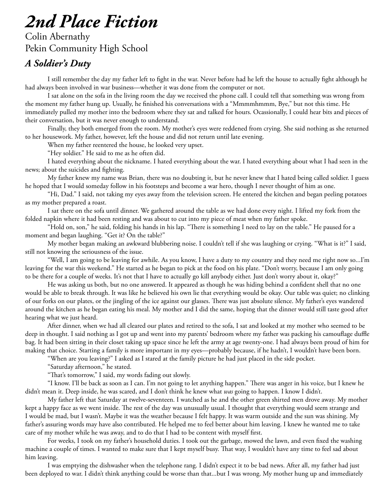# *2nd Place Fiction*

Colin Abernathy Pekin Community High School

# *A Soldier's Duty*

I still remember the day my father left to fight in the war. Never before had he left the house to actually fight although he had always been involved in war business—whether it was done from the computer or not.

I sat alone on the sofa in the living room the day we received the phone call. I could tell that something was wrong from the moment my father hung up. Usually, he finished his conversations with a "Mmmmhmmm, Bye," but not this time. He immediately pulled my mother into the bedroom where they sat and talked for hours. Ocassionally, I could hear bits and pieces of their conversation, but it was never enough to understand.

Finally, they both emerged from the room. My mother's eyes were reddened from crying. She said nothing as she returned to her housework. My father, however, left the house and did not return until late evening.

When my father reentered the house, he looked very upset.

"Hey soldier." He said to me as he often did.

I hated everything about the nickname. I hated everything about the war. I hated everything about what I had seen in the news; about the suicides and fighting.

My father knew my name was Brian, there was no doubting it, but he never knew that I hated being called soldier. I guess he hoped that I would someday follow in his footsteps and become a war hero, though I never thought of him as one.

"Hi, Dad." I said, not taking my eyes away from the television screen. He entered the kitchen and began peeling potatoes as my mother prepared a roast.

I sat there on the sofa until dinner. We gathered around the table as we had done every night. I lifted my fork from the folded napkin where it had been resting and was about to cut into my piece of meat when my father spoke.

"Hold on, son," he said, folding his hands in his lap. "There is something I need to lay on the table." He paused for a moment and began laughing. "Get it? On the table?"

My mother began making an awkward blubbering noise. I couldn't tell if she was laughing or crying. "What is it?" I said, still not knowing the seriousness of the issue.

"Well, I am going to be leaving for awhile. As you know, I have a duty to my country and they need me right now so...I'm leaving for the war this weekend." He started as he began to pick at the food on his plate. "Don't worry, because I am only going to be there for a couple of weeks. It's not that I have to actually go kill anybody either. Just don't worry about it, okay?"

He was asking us both, but no one answered. It appeared as though he was hiding behind a confident shell that no one would be able to break through. It was like he believed his own lie that everything would be okay. Our table was quiet; no clinking of our forks on our plates, or the jingling of the ice against our glasses. There was just absolute silence. My father's eyes wandered around the kitchen as he began eating his meal. My mother and I did the same, hoping that the dinner would still taste good after hearing what we just heard.

After dinner, when we had all cleared our plates and retired to the sofa, I sat and looked at my mother who seemed to be deep in thought. I said nothing as I got up and went into my parents' bedroom where my father was packing his camouflage duffle bag. It had been sitting in their closet taking up space since he left the army at age twenty-one. I had always been proud of him for making that choice. Starting a family is more important in my eyes—probably because, if he hadn't, I wouldn't have been born.

"When are you leaving?" I asked as I stared at the family picture he had just placed in the side pocket.

"Saturday afternoon," he stated.

"That's tomorrow," I said, my words fading out slowly.

"I know. I'll be back as soon as I can. I'm not going to let anything happen." There was anger in his voice, but I knew he didn't mean it. Deep inside, he was scared, and I don't think he knew what *was* going to happen. I know I didn't.

My father left that Saturday at twelve-seventeen. I watched as he and the other green shirted men drove away. My mother kept a happy face as we went inside. The rest of the day was unusually usual. I thought that everything would seem strange and I would be mad, but I wasn't. Maybe it was the weather because I felt happy. It was warm outside and the sun was shining. My father's assuring words may have also contributed. He helped me to feel better about him leaving. I knew he wanted me to take care of my mother while he was away, and to do that I had to be content with myself first.

For weeks, I took on my father's household duties. I took out the garbage, mowed the lawn, and even fixed the washing machine a couple of times. I wanted to make sure that I kept myself busy. That way, I wouldn't have any time to feel sad about him leaving.

I was emptying the dishwasher when the telephone rang. I didn't expect it to be bad news. After all, my father had just been deployed to war. I didn't think anything could be worse than that...but I was wrong. My mother hung up and immediately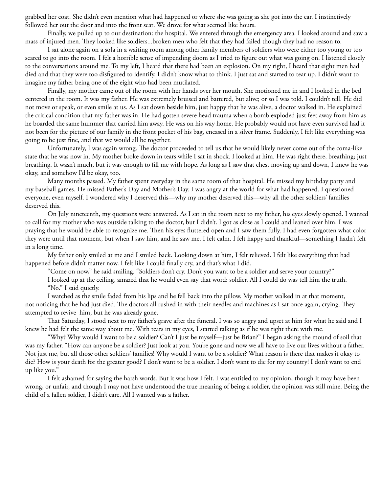grabbed her coat. She didn't even mention what had happened or where she was going as she got into the car. I instinctively followed her out the door and into the front seat. We drove for what seemed like hours.

Finally, we pulled up to our destination: the hospital. We entered through the emergency area. I looked around and saw a mass of injured men. They looked like soldiers...broken men who felt that they had failed though they had no reason to.

I sat alone again on a sofa in a waiting room among other family members of soldiers who were either too young or too scared to go into the room. I felt a horrible sense of impending doom as I tried to figure out what was going on. I listened closely to the conversations around me. To my left, I heard that there had been an explosion. On my right, I heard that eight men had died and that they were too disfigured to identify. I didn't know what to think. I just sat and started to tear up. I didn't want to imagine my father being one of the eight who had been mutilated.

Finally, my mother came out of the room with her hands over her mouth. She motioned me in and I looked in the bed centered in the room. It was my father. He was extremely bruised and battered, but alive; or so I was told. I couldn't tell. He did not move or speak, or even smile at us. As I sat down beside him, just happy that he was alive, a doctor walked in. He explained the critical condition that my father was in. He had gotten severe head trauma when a bomb exploded just feet away from him as he boarded the same hummer that carried him away. He was on his way home. He probably would not have even survived had it not been for the picture of our family in the front pocket of his bag, encased in a silver frame. Suddenly, I felt like everything was going to be just fine, and that we would all be together.

Unfortunately, I was again wrong. The doctor proceeded to tell us that he would likely never come out of the coma-like state that he was now in. My mother broke down in tears while I sat in shock. I looked at him. He was right there, breathing; just breathing. It wasn't much, but it was enough to fill me with hope. As long as I saw that chest moving up and down, I knew he was okay, and somehow I'd be okay, too.

Many months passed. My father spent everyday in the same room of that hospital. He missed my birthday party and my baseball games. He missed Father's Day and Mother's Day. I was angry at the world for what had happened. I questioned everyone, even myself. I wondered why I deserved this—why my mother deserved this—why all the other soldiers' families deserved this.

On July nineteenth, my questions were answered. As I sat in the room next to my father, his eyes slowly opened. I wanted to call for my mother who was outside talking to the doctor, but I didn't. I got as close as I could and leaned over him. I was praying that he would be able to recognize me. Then his eyes fluttered open and I saw them fully. I had even forgotten what color they were until that moment, but when I saw him, and he saw me. I felt calm. I felt happy and thankful—something I hadn't felt in a long time.

My father only smiled at me and I smiled back. Looking down at him, I felt relieved. I felt like everything that had happened before didn't matter now. I felt like I could finally cry, and that's what I did.

"Come on now," he said smiling. "Soldiers don't cry. Don't you want to be a soldier and serve your country?"

I looked up at the ceiling, amazed that he would even say that word: soldier. All I could do was tell him the truth. "No." I said quietly.

I watched as the smile faded from his lips and he fell back into the pillow. My mother walked in at that moment, not noticing that he had just died. The doctors all rushed in with their needles and machines as I sat once again, crying. They attempted to revive him, but he was already gone.

That Saturday, I stood next to my father's grave after the funeral. I was so angry and upset at him for what he said and I knew he had felt the same way about me. With tears in my eyes, I started talking as if he was right there with me.

"Why? Why would I want to be a soldier? Can't I just be myself—just be Brian?" I began asking the mound of soil that was my father. "How can anyone be a soldier? Just look at you. You're gone and now we all have to live our lives without a father. Not just me, but all those other soldiers' families! Why would I want to be a soldier? What reason is there that makes it okay to die? How is your death for the greater good? I don't want to be a soldier. I don't want to die for my country! I don't want to end up like you."

I felt ashamed for saying the harsh words. But it was how I felt. I was entitled to my opinion, though it may have been wrong, or unfair, and though I may not have understood the true meaning of being a soldier, the opinion was still mine. Being the child of a fallen soldier, I didn't care. All I wanted was a father.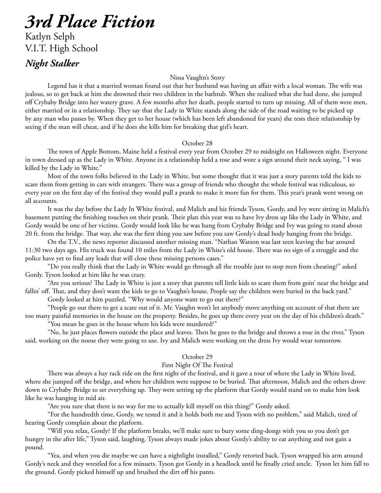# *3rd Place Fiction*

Katlyn Selph V.I.T. High School

### *Night Stalker*

#### Nissa Vaughn's Story

Legend has it that a married woman found out that her husband was having an affair with a local woman. The wife was jealous, so to get back at him she drowned their two children in the bathtub. When she realized what she had done, she jumped off Crybaby Bridge into her watery grave. A few months after her death, people started to turn up missing. All of them were men, either married or in a relationship. They say that the Lady in White stands along the side of the road waiting to be picked up by any man who passes by. When they get to her house (which has been left abandoned for years) she tests their relationship by seeing if the man will cheat, and if he does she kills him for breaking that girl's heart.

#### October 28

The town of Apple Bottom, Maine held a festival every year from October 29 to midnight on Halloween night. Everyone in town dressed up as the Lady in White. Anyone in a relationship held a rose and wore a sign around their neck saying, " I was killed by the Lady in White."

Most of the town folks believed in the Lady in White, but some thought that it was just a story parents told the kids to scare them from getting in cars with strangers. There was a group of friends who thought the whole festival was ridiculous, so every year on the first day of the festival they would pull a prank to make it more fun for them. This year's prank went wrong on all accounts.

It was the day before the Lady In White festival, and Malich and his friends Tyson, Gordy, and Ivy were sitting in Malich's basement putting the finishing touches on their prank. Their plan this year was to have Ivy dress up like the Lady in White, and Gordy would be one of her victims. Gordy would look like he was hung from Crybaby Bridge and Ivy was going to stand about 20 ft. from the bridge. That way, she was the first thing you saw before you saw Gordy's dead body hanging from the bridge.

On the T.V., the news reporter discussed another missing man. "Nathan Watson was last seen leaving the bar around 11:30 two days ago. His truck was found 10 miles from the Lady in White's old house. There was no sign of a struggle and the police have yet to find any leads that will close these missing persons cases."

"Do you really think that the Lady in White would go through all the trouble just to stop men from cheating?" asked Gordy. Tyson looked at him like he was crazy.

"Are you serious? The Lady in White is just a story that parents tell little kids to scare them from goin' near the bridge and fallin' off. That, and they don't want the kids to go to Vaughn's house. People say the children were buried in the back yard."

Gordy looked at him puzzled. "Why would anyone want to go out there?"

"People go out there to get a scare out of it. Mr. Vaughn won't let anybody move anything on account of that there are too many painful memories in the house on the property. Besides, he goes up there every year on the day of his children's death."

"You mean he goes in the house where his kids were murdered?"

"No, he just places flowers outside the place and leaves. Then he goes to the bridge and throws a rose in the river," Tyson said, working on the noose they were going to use. Ivy and Malich were working on the dress Ivy would wear tomorrow.

#### October 29

#### First Night Of The Festival

There was always a hay rack ride on the first night of the festival, and it gave a tour of where the Lady in White lived, where she jumped off the bridge, and where her children were suppose to be buried. That afternoon, Malich and the others drove down to Crybaby Bridge to set everything up. They were setting up the platform that Gordy would stand on to make him look like he was hanging in mid air.

"Are you sure that there is no way for me to actually kill myself on this thing?" Gordy asked.

"For the hundredth time, Gordy, we tested it and it holds both me and Tyson with no problem," said Malich, tired of hearing Gordy complain about the platform.

"Will you relax, Gordy? If the platform breaks, we'll make sure to bury some ding-dongs with you so you don't get hungry in the after life," Tyson said, laughing. Tyson always made jokes about Gordy's ability to eat anything and not gain a pound.

"Yea, and when you die maybe we can have a nightlight installed," Gordy retorted back. Tyson wrapped his arm around Gordy's neck and they wrestled for a few minuets. Tyson got Gordy in a headlock until he finally cried uncle. Tyson let him fall to the ground. Gordy picked himself up and brushed the dirt off his pants.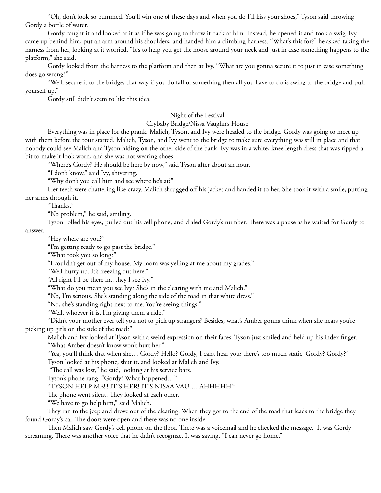"Oh, don't look so bummed. You'll win one of these days and when you do I'll kiss your shoes," Tyson said throwing Gordy a bottle of water.

Gordy caught it and looked at it as if he was going to throw it back at him. Instead, he opened it and took a swig. Ivy came up behind him, put an arm around his shoulders, and handed him a climbing harness. "What's this for?" he asked taking the harness from her, looking at it worried. "It's to help you get the noose around your neck and just in case something happens to the platform," she said.

Gordy looked from the harness to the platform and then at Ivy. "What are you gonna secure it to just in case something does go wrong?"

"We'll secure it to the bridge, that way if you do fall or something then all you have to do is swing to the bridge and pull yourself up."

Gordy still didn't seem to like this idea.

#### Night of the Festival

#### Crybaby Bridge/Nissa Vaughn's House

Everything was in place for the prank. Malich, Tyson, and Ivy were headed to the bridge. Gordy was going to meet up with them before the tour started. Malich, Tyson, and Ivy went to the bridge to make sure everything was still in place and that nobody could see Malich and Tyson hiding on the other side of the bank. Ivy was in a white, knee length dress that was ripped a bit to make it look worn, and she was not wearing shoes.

"Where's Gordy? He should be here by now," said Tyson after about an hour.

"I don't know," said Ivy, shivering.

"Why don't you call him and see where he's at?"

Her teeth were chattering like crazy. Malich shrugged off his jacket and handed it to her. She took it with a smile, putting her arms through it.

"Thanks."

"No problem," he said, smiling.

Tyson rolled his eyes, pulled out his cell phone, and dialed Gordy's number. There was a pause as he waited for Gordy to answer.

"Hey where are you?"

"I'm getting ready to go past the bridge."

"What took you so long?"

"I couldn't get out of my house. My mom was yelling at me about my grades."

"Well hurry up. It's freezing out here."

"All right I'll be there in…hey I see Ivy."

"What do you mean you see Ivy? She's in the clearing with me and Malich."

"No, I'm serious. She's standing along the side of the road in that white dress."

"No, she's standing right next to me. You're seeing things."

"Well, whoever it is, I'm giving them a ride."

"Didn't your mother ever tell you not to pick up strangers? Besides, what's Amber gonna think when she hears you're picking up girls on the side of the road?"

Malich and Ivy looked at Tyson with a weird expression on their faces. Tyson just smiled and held up his index finger. "What Amber doesn't know won't hurt her."

"Yea, you'll think that when she… Gordy? Hello? Gordy, I can't hear you; there's too much static. Gordy? Gordy?"

Tyson looked at his phone, shut it, and looked at Malich and Ivy.

"The call was lost," he said, looking at his service bars.

Tyson's phone rang. "Gordy? What happened…"

"TYSON HELP ME!!! IT'S HER! IT'S NISAA VAU…. AHHHHH!"

The phone went silent. They looked at each other.

"We have to go help him," said Malich.

They ran to the jeep and drove out of the clearing. When they got to the end of the road that leads to the bridge they found Gordy's car. The doors were open and there was no one inside.

Then Malich saw Gordy's cell phone on the floor. There was a voicemail and he checked the message. It was Gordy screaming. There was another voice that he didn't recognize. It was saying, "I can never go home."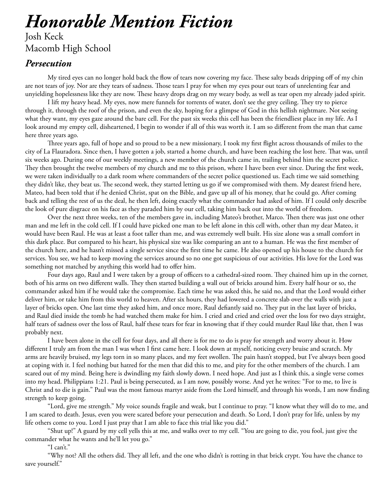Josh Keck Macomb High School

### *Persecution*

My tired eyes can no longer hold back the flow of tears now covering my face. These salty beads dripping off of my chin are not tears of joy. Nor are they tears of sadness. Those tears I pray for when my eyes pour out tears of unrelenting fear and unyielding hopelessness like they are now. These heavy drops drag on my weary body, as well as tear open my already jaded spirit.

I lift my heavy head. My eyes, now mere funnels for torrents of water, don't see the grey ceiling. They try to pierce through it, through the roof of the prison, and even the sky, hoping for a glimpse of God in this hellish nightmare. Not seeing what they want, my eyes gaze around the bare cell. For the past six weeks this cell has been the friendliest place in my life. As I look around my empty cell, disheartened, I begin to wonder if all of this was worth it. I am so different from the man that came here three years ago.

Three years ago, full of hope and so proud to be a new missionary, I took my first flight across thousands of miles to the city of La Flauradora. Since then, I have gotten a job, started a home church, and have been reaching the lost here. That was, until six weeks ago. During one of our weekly meetings, a new member of the church came in, trailing behind him the secret police. They then brought the twelve members of my church and me to this prison, where I have been ever since. During the first week, we were taken individually to a dark room where commanders of the secret police questioned us. Each time we said something they didn't like, they beat us. The second week, they started letting us go if we compromised with them. My dearest friend here, Mateo, had been told that if he denied Christ, spat on the Bible, and gave up all of his money, that he could go. After coming back and telling the rest of us the deal, he then left, doing exactly what the commander had asked of him. If I could only describe the look of pure disgrace on his face as they paraded him by our cell, taking him back out into the world of freedom.

Over the next three weeks, ten of the members gave in, including Mateo's brother, Marco. Then there was just one other man and me left in the cold cell. If I could have picked one man to be left alone in this cell with, other than my dear Mateo, it would have been Raul. He was at least a foot taller than me, and was extremely well built. His size alone was a small comfort in this dark place. But compared to his heart, his physical size was like comparing an ant to a human. He was the first member of the church here, and he hasn't missed a single service since the first time he came. He also opened up his house to the church for services. You see, we had to keep moving the services around so no one got suspicious of our activities. His love for the Lord was something not matched by anything this world had to offer him.

Four days ago, Raul and I were taken by a group of officers to a cathedral-sized room. They chained him up in the corner, both of his arms on two different walls. They then started building a wall out of bricks around him. Every half hour or so, the commander asked him if he would take the compromise. Each time he was asked this, he said no, and that the Lord would either deliver him, or take him from this world to heaven. After six hours, they had lowered a concrete slab over the walls with just a layer of bricks open. One last time they asked him, and once more, Raul defiantly said no. They put in the last layer of bricks, and Raul died inside the tomb he had watched them make for him. I cried and cried and cried over the loss for two days straight, half tears of sadness over the loss of Raul, half these tears for fear in knowing that if they could murder Raul like that, then I was probably next.

I have been alone in the cell for four days, and all there is for me to do is pray for strength and worry about it. How different I truly am from the man I was when I first came here. I look down at myself, noticing every bruise and scratch. My arms are heavily bruised, my legs torn in so many places, and my feet swollen. The pain hasn't stopped, but I've always been good at coping with it. I feel nothing but hatred for the men that did this to me, and pity for the other members of the church. I am scared out of my mind. Being here is dwindling my faith slowly down. I need hope. And just as I think this, a single verse comes into my head. Philippians 1:21. Paul is being persecuted, as I am now, possibly worse. And yet he writes: "For to me, to live is Christ and to die is gain." Paul was the most famous martyr aside from the Lord himself, and through his words, I am now finding strength to keep going.

"Lord, give me strength." My voice sounds fragile and weak, but I continue to pray. "I know what they will do to me, and I am scared to death. Jesus, even you were scared before your persecution and death. So Lord, I don't pray for life, unless by my life others come to you. Lord I just pray that I am able to face this trial like you did."

"Shut up!" A guard by my cell yells this at me, and walks over to my cell. "You are going to die, you fool, just give the commander what he wants and he'll let you go."

"I can't."

"Why not? All the others did. They all left, and the one who didn't is rotting in that brick crypt. You have the chance to save yourself."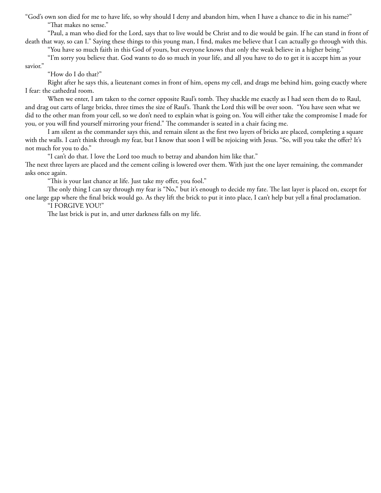"God's own son died for me to have life, so why should I deny and abandon him, when I have a chance to die in his name?"

"That makes no sense."

"Paul, a man who died for the Lord, says that to live would be Christ and to die would be gain. If he can stand in front of death that way, so can I." Saying these things to this young man, I find, makes me believe that I can actually go through with this.

"You have so much faith in this God of yours, but everyone knows that only the weak believe in a higher being."

"I'm sorry you believe that. God wants to do so much in your life, and all you have to do to get it is accept him as your savior."

"How do I do that?"

Right after he says this, a lieutenant comes in front of him, opens my cell, and drags me behind him, going exactly where I fear: the cathedral room.

When we enter, I am taken to the corner opposite Raul's tomb. They shackle me exactly as I had seen them do to Raul, and drag out carts of large bricks, three times the size of Raul's. Thank the Lord this will be over soon. "You have seen what we did to the other man from your cell, so we don't need to explain what is going on. You will either take the compromise I made for you, or you will find yourself mirroring your friend." The commander is seated in a chair facing me.

I am silent as the commander says this, and remain silent as the first two layers of bricks are placed, completing a square with the walls. I can't think through my fear, but I know that soon I will be rejoicing with Jesus. "So, will you take the offer? It's not much for you to do."

"I can't do that. I love the Lord too much to betray and abandon him like that."

The next three layers are placed and the cement ceiling is lowered over them. With just the one layer remaining, the commander asks once again.

"This is your last chance at life. Just take my offer, you fool."

The only thing I can say through my fear is "No," but it's enough to decide my fate. The last layer is placed on, except for one large gap where the final brick would go. As they lift the brick to put it into place, I can't help but yell a final proclamation. "I FORGIVE YOU!"

The last brick is put in, and utter darkness falls on my life.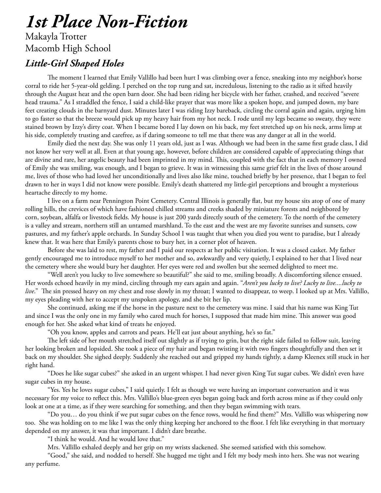# *1st Place Non-Fiction*

Makayla Trotter Macomb High School

# *Little-Girl Shaped Holes*

The moment I learned that Emily Vallillo had been hurt I was climbing over a fence, sneaking into my neighbor's horse corral to ride her 5-year-old gelding. I perched on the top rung and sat, incredulous, listening to the radio as it sifted heavily through the August heat and the open barn door. She had been riding her bicycle with her father, crashed, and received "severe head trauma." As I straddled the fence, I said a child-like prayer that was more like a spoken hope, and jumped down, my bare feet creating clouds in the barnyard dust. Minutes later I was riding Izzy bareback, circling the corral again and again, urging him to go faster so that the breeze would pick up my heavy hair from my hot neck. I rode until my legs became so sweaty, they were stained brown by Izzy's dirty coat. When I became bored I lay down on his back, my feet stretched up on his neck, arms limp at his side, completely trusting and carefree, as if daring someone to tell me that there was any danger at all in the world.

Emily died the next day. She was only 11 years old, just as I was. Although we had been in the same first grade class, I did not know her very well at all. Even at that young age, however, before children are considered capable of appreciating things that are divine and rare, her angelic beauty had been imprinted in my mind. This, coupled with the fact that in each memory I owned of Emily she was smiling, was enough, and I began to grieve. It was in witnessing this same grief felt in the lives of those around me, lives of those who had loved her unconditionally and lives also like mine, touched briefly by her presence, that I began to feel drawn to her in ways I did not know were possible. Emily's death shattered my little-girl perceptions and brought a mysterious heartache directly to my home.

I live on a farm near Pennington Point Cemetery. Central Illinois is generally flat, but my house sits atop of one of many rolling hills, the crevices of which have fashioned chilled streams and creeks shaded by miniature forests and neighbored by corn, soybean, alfalfa or livestock fields. My house is just 200 yards directly south of the cemetery. To the north of the cemetery is a valley and stream, northern still an untamed marshland. To the east and the west are my favorite sunrises and sunsets, cow pastures, and my father's apple orchards. In Sunday School I was taught that when you died you went to paradise, but I already knew that. It was here that Emily's parents chose to bury her, in a corner plot of heaven.

Before she was laid to rest, my father and I paid our respects at her public visitation. It was a closed casket. My father gently encouraged me to introduce myself to her mother and so, awkwardly and very quietly, I explained to her that I lived near the cemetery where she would bury her daughter. Her eyes were red and swollen but she seemed delighted to meet me.

"Well aren't you lucky to live somewhere so beautiful?" she said to me, smiling broadly. A discomforting silence ensued. Her words echoed heavily in my mind, circling through my ears again and again. "*Aren't you lucky to live? Lucky to live....lucky to live*." The sin pressed heavy on my chest and rose slowly in my throat; I wanted to disappear, to weep. I looked up at Mrs. Vallillo, my eyes pleading with her to accept my unspoken apology, and she bit her lip.

She continued, asking me if the horse in the pasture next to the cemetery was mine. I said that his name was King Tut and since I was the only one in my family who cared much for horses, I supposed that made him mine. This answer was good enough for her. She asked what kind of treats he enjoyed.

"Oh you know, apples and carrots and pears. He'll eat just about anything, he's so fat."

The left side of her mouth stretched itself out slightly as if trying to grin, but the right side failed to follow suit, leaving her looking broken and lopsided. She took a piece of my hair and began twisting it with two fingers thoughtfully and then set it back on my shoulder. She sighed deeply. Suddenly she reached out and gripped my hands tightly, a damp Kleenex still stuck in her right hand.

"Does he like sugar cubes?" she asked in an urgent whisper. I had never given King Tut sugar cubes. We didn't even have sugar cubes in my house.

"Yes. Yes he loves sugar cubes," I said quietly. I felt as though we were having an important conversation and it was necessary for my voice to reflect this. Mrs. Vallillo's blue-green eyes began going back and forth across mine as if they could only look at one at a time, as if they were searching for something, and then they began swimming with tears.

"Do you… do you think if we put sugar cubes on the fence rows, would he find them?" Mrs. Vallillo was whispering now too. She was holding on to me like I was the only thing keeping her anchored to the floor. I felt like everything in that mortuary depended on my answer, it was that important. I didn't dare breathe.

"I think he would. And he would love that."

Mrs. Vallillo exhaled deeply and her grip on my wrists slackened. She seemed satisfied with this somehow.

"Good," she said, and nodded to herself. She hugged me tight and I felt my body mesh into hers. She was not wearing any perfume.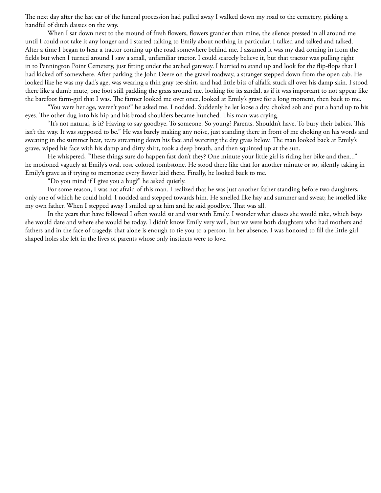The next day after the last car of the funeral procession had pulled away I walked down my road to the cemetery, picking a handful of ditch daisies on the way.

When I sat down next to the mound of fresh flowers, flowers grander than mine, the silence pressed in all around me until I could not take it any longer and I started talking to Emily about nothing in particular. I talked and talked and talked. After a time I began to hear a tractor coming up the road somewhere behind me. I assumed it was my dad coming in from the fields but when I turned around I saw a small, unfamiliar tractor. I could scarcely believe it, but that tractor was pulling right in to Pennington Point Cemetery, just fitting under the arched gateway. I hurried to stand up and look for the flip-flops that I had kicked off somewhere. After parking the John Deere on the gravel roadway, a stranger stepped down from the open cab. He looked like he was my dad's age, was wearing a thin gray tee-shirt, and had little bits of alfalfa stuck all over his damp skin. I stood there like a dumb mute, one foot still padding the grass around me, looking for its sandal, as if it was important to not appear like the barefoot farm-girl that I was. The farmer looked me over once, looked at Emily's grave for a long moment, then back to me.

"You were her age, weren't you?" he asked me. I nodded. Suddenly he let loose a dry, choked sob and put a hand up to his eyes. The other dug into his hip and his broad shoulders became hunched. This man was crying.

"It's not natural, is it? Having to say goodbye. To someone. So young? Parents. Shouldn't have. To bury their babies. This isn't the way. It was supposed to be." He was barely making any noise, just standing there in front of me choking on his words and sweating in the summer heat, tears streaming down his face and watering the dry grass below. The man looked back at Emily's grave, wiped his face with his damp and dirty shirt, took a deep breath, and then squinted up at the sun.

He whispered, "These things sure do happen fast don't they? One minute your little girl is riding her bike and then..." he motioned vaguely at Emily's oval, rose colored tombstone. He stood there like that for another minute or so, silently taking in Emily's grave as if trying to memorize every flower laid there. Finally, he looked back to me.

"Do you mind if I give you a hug?" he asked quietly.

For some reason, I was not afraid of this man. I realized that he was just another father standing before two daughters, only one of which he could hold. I nodded and stepped towards him. He smelled like hay and summer and sweat; he smelled like my own father. When I stepped away I smiled up at him and he said goodbye. That was all.

In the years that have followed I often would sit and visit with Emily. I wonder what classes she would take, which boys she would date and where she would be today. I didn't know Emily very well, but we were both daughters who had mothers and fathers and in the face of tragedy, that alone is enough to tie you to a person. In her absence, I was honored to fill the little-girl shaped holes she left in the lives of parents whose only instincts were to love.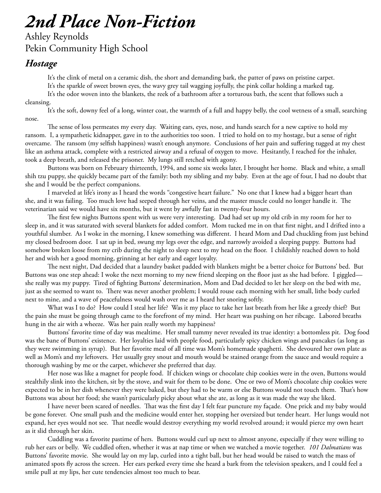# *2nd Place Non-Fiction*

Ashley Reynolds Pekin Community High School

### *Hostage*

It's the clink of metal on a ceramic dish, the short and demanding bark, the patter of paws on pristine carpet.

It's the sparkle of sweet brown eyes, the wavy grey tail wagging joyfully, the pink collar holding a marked tag.

It's the odor woven into the blankets, the reek of a bathroom after a torturous bath, the scent that follows such a cleansing.

It's the soft, downy feel of a long, winter coat, the warmth of a full and happy belly, the cool wetness of a small, searching nose.

The sense of loss permeates my every day. Waiting ears, eyes, nose, and hands search for a new captive to hold my ransom. I, a sympathetic kidnapper, gave in to the authorities too soon. I tried to hold on to my hostage, but a sense of right overcame. The ransom (my selfish happiness) wasn't enough anymore. Conclusions of her pain and suffering tugged at my chest like an asthma attack, complete with a restricted airway and a refusal of oxygen to move. Hesitantly, I reached for the inhaler, took a deep breath, and released the prisoner. My lungs still retched with agony.

Buttons was born on February thirteenth, 1994, and some six weeks later, I brought her home. Black and white, a small shih tzu puppy, she quickly became part of the family: both my sibling and my baby. Even at the age of four, I had no doubt that she and I would be the perfect companions.

I marveled at life's irony as I heard the words "congestive heart failure." No one that I knew had a bigger heart than she, and it was failing. Too much love had seeped through her veins, and the master muscle could no longer handle it. The veterinarian said we would have six months, but it went by awfully fast in twenty-four hours.

The first few nights Buttons spent with us were very interesting. Dad had set up my old crib in my room for her to sleep in, and it was saturated with several blankets for added comfort. Mom tucked me in on that first night, and I drifted into a youthful slumber. As I woke in the morning, I knew something was different. I heard Mom and Dad chuckling from just behind my closed bedroom door. I sat up in bed, swung my legs over the edge, and narrowly avoided a sleeping puppy. Buttons had somehow broken loose from my crib during the night to sleep next to my head on the floor. I childishly reached down to hold her and wish her a good morning, grinning at her early and eager loyalty.

The next night, Dad decided that a laundry basket padded with blankets might be a better choice for Buttons' bed. But Buttons was one step ahead: I woke the next morning to my new friend sleeping on the floor just as she had before. I giggled she really was my puppy. Tired of fighting Buttons' determination, Mom and Dad decided to let her sleep on the bed with me, just as she seemed to want to. There was never another problem; I would rouse each morning with her small, lithe body curled next to mine, and a wave of peacefulness would wash over me as I heard her snoring softly.

What was I to do? How could I steal her life? Was it my place to take her last breath from her like a greedy thief? But the pain she must be going through came to the forefront of my mind. Her heart was pushing on her ribcage. Labored breaths hung in the air with a wheeze. Was her pain really worth my happiness?

Buttons' favorite time of day was mealtime. Her small tummy never revealed its true identity: a bottomless pit. Dog food was the bane of Buttons' existence. Her loyalties laid with people food, particularly spicy chicken wings and pancakes (as long as they were swimming in syrup). But her favorite meal of all time was Mom's homemade spaghetti. She devoured her own plate as well as Mom's and my leftovers. Her usually grey snout and mouth would be stained orange from the sauce and would require a thorough washing by me or the carpet, whichever she preferred that day.

Her nose was like a magnet for people food. If chicken wings or chocolate chip cookies were in the oven, Buttons would stealthily slink into the kitchen, sit by the stove, and wait for them to be done. One or two of Mom's chocolate chip cookies were expected to be in her dish whenever they were baked, but they had to be warm or else Buttons would not touch them. That's how Buttons was about her food; she wasn't particularly picky about what she ate, as long as it was made the way she liked.

I have never been scared of needles. That was the first day I felt fear puncture my façade. One prick and my baby would be gone forever. One small push and the medicine would enter her, stopping her oversized but tender heart. Her lungs would not expand, her eyes would not see. That needle would destroy everything my world revolved around; it would pierce my own heart as it slid through her skin.

Cuddling was a favorite pastime of hers. Buttons would curl up next to almost anyone, especially if they were willing to rub her ears or belly. We cuddled often, whether it was at nap time or when we watched a movie together. *101 Dalmatians* was Buttons' favorite movie. She would lay on my lap, curled into a tight ball, but her head would be raised to watch the mass of animated spots fly across the screen. Her ears perked every time she heard a bark from the television speakers, and I could feel a smile pull at my lips, her cute tendencies almost too much to bear.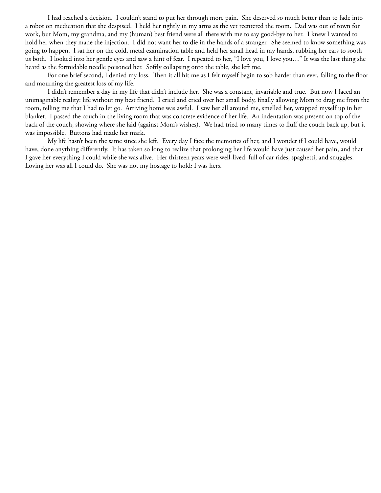I had reached a decision. I couldn't stand to put her through more pain. She deserved so much better than to fade into a robot on medication that she despised. I held her tightly in my arms as the vet reentered the room. Dad was out of town for work, but Mom, my grandma, and my (human) best friend were all there with me to say good-bye to her. I knew I wanted to hold her when they made the injection. I did not want her to die in the hands of a stranger. She seemed to know something was going to happen. I sat her on the cold, metal examination table and held her small head in my hands, rubbing her ears to sooth us both. I looked into her gentle eyes and saw a hint of fear. I repeated to her, "I love you, I love you…" It was the last thing she heard as the formidable needle poisoned her. Softly collapsing onto the table, she left me.

For one brief second, I denied my loss. Then it all hit me as I felt myself begin to sob harder than ever, falling to the floor and mourning the greatest loss of my life.

I didn't remember a day in my life that didn't include her. She was a constant, invariable and true. But now I faced an unimaginable reality: life without my best friend. I cried and cried over her small body, finally allowing Mom to drag me from the room, telling me that I had to let go. Arriving home was awful. I saw her all around me, smelled her, wrapped myself up in her blanket. I passed the couch in the living room that was concrete evidence of her life. An indentation was present on top of the back of the couch, showing where she laid (against Mom's wishes). We had tried so many times to fluff the couch back up, but it was impossible. Buttons had made her mark.

My life hasn't been the same since she left. Every day I face the memories of her, and I wonder if I could have, would have, done anything differently. It has taken so long to realize that prolonging her life would have just caused her pain, and that I gave her everything I could while she was alive. Her thirteen years were well-lived: full of car rides, spaghetti, and snuggles. Loving her was all I could do. She was not my hostage to hold; I was hers.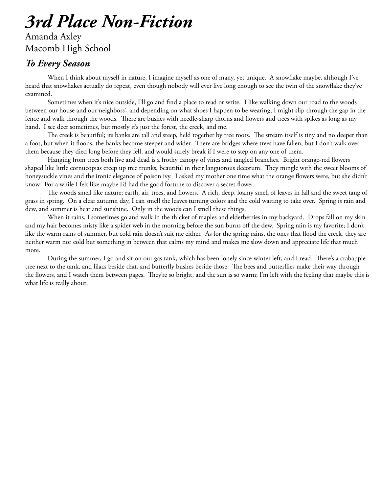# *3rd Place Non-Fiction*

Amanda Axley Macomb High School

# *To Every Season*

When I think about myself in nature, I imagine myself as one of many, yet unique. A snowflake maybe, although I've heard that snowflakes actually do repeat, even though nobody will ever live long enough to see the twin of the snowflake they've examined.

Sometimes when it's nice outside, I'll go and find a place to read or write. I like walking down our road to the woods between our house and our neighbors', and depending on what shoes I happen to be wearing, I might slip through the gap in the fence and walk through the woods. There are bushes with needle-sharp thorns and flowers and trees with spikes as long as my hand. I see deer sometimes, but mostly it's just the forest, the creek, and me.

The creek is beautiful; its banks are tall and steep, held together by tree roots. The stream itself is tiny and no deeper than a foot, but when it floods, the banks become steeper and wider. There are bridges where trees have fallen, but I don't walk over them because they died long before they fell, and would surely break if I were to step on any one of them.

Hanging from trees both live and dead is a frothy canopy of vines and tangled branches. Bright orange-red flowers shaped like little cornucopias creep up tree trunks, beautiful in their languorous decorum. They mingle with the sweet blooms of honeysuckle vines and the ironic elegance of poison ivy. I asked my mother one time what the orange flowers were, but she didn't know. For a while I felt like maybe I'd had the good fortune to discover a secret flower.

The woods smell like nature; earth, air, trees, and flowers. A rich, deep, loamy smell of leaves in fall and the sweet tang of grass in spring. On a clear autumn day, I can smell the leaves turning colors and the cold waiting to take over. Spring is rain and dew, and summer is heat and sunshine. Only in the woods can I smell these things.

When it rains, I sometimes go and walk in the thicket of maples and elderberries in my backyard. Drops fall on my skin and my hair becomes misty like a spider web in the morning before the sun burns off the dew. Spring rain is my favorite; I don't like the warm rains of summer, but cold rain doesn't suit me either. As for the spring rains, the ones that flood the creek, they are neither warm nor cold but something in between that calms my mind and makes me slow down and appreciate life that much more.

During the summer, I go and sit on our gas tank, which has been lonely since winter left, and I read. There's a crabapple tree next to the tank, and lilacs beside that, and butterfly bushes beside those. The bees and butterflies make their way through the flowers, and I watch them between pages. They're so bright, and the sun is so warm; I'm left with the feeling that maybe this is what life is really about.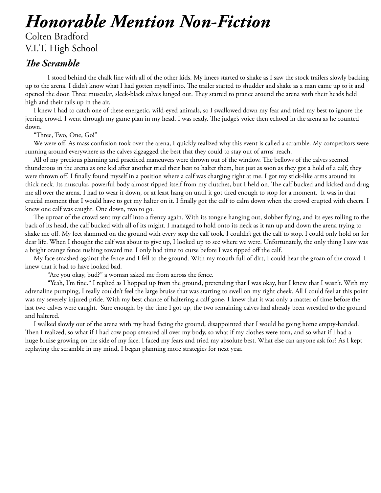Colten Bradford V.I.T. High School

### *The Scramble*

I stood behind the chalk line with all of the other kids. My knees started to shake as I saw the stock trailers slowly backing up to the arena. I didn't know what I had gotten myself into. The trailer started to shudder and shake as a man came up to it and opened the door. Three muscular, sleek-black calves lunged out. They started to prance around the arena with their heads held high and their tails up in the air.

 I knew I had to catch one of these energetic, wild-eyed animals, so I swallowed down my fear and tried my best to ignore the jeering crowd. I went through my game plan in my head. I was ready. The judge's voice then echoed in the arena as he counted down.

"Three, Two, One, Go!"

 We were off. As mass confusion took over the arena, I quickly realized why this event is called a scramble. My competitors were running around everywhere as the calves zigzagged the best that they could to stay out of arms' reach.

 All of my precious planning and practiced maneuvers were thrown out of the window. The bellows of the calves seemed thunderous in the arena as one kid after another tried their best to halter them, but just as soon as they got a hold of a calf, they were thrown off. I finally found myself in a position where a calf was charging right at me. I got my stick-like arms around its thick neck. Its muscular, powerful body almost ripped itself from my clutches, but I held on. The calf bucked and kicked and drug me all over the arena. I had to wear it down, or at least hang on until it got tired enough to stop for a moment. It was in that crucial moment that I would have to get my halter on it. I finally got the calf to calm down when the crowd erupted with cheers. I knew one calf was caught. One down, two to go.

 The uproar of the crowd sent my calf into a frenzy again. With its tongue hanging out, slobber flying, and its eyes rolling to the back of its head, the calf bucked with all of its might. I managed to hold onto its neck as it ran up and down the arena trying to shake me off. My feet slammed on the ground with every step the calf took. I couldn't get the calf to stop. I could only hold on for dear life. When I thought the calf was about to give up, I looked up to see where we were. Unfortunately, the only thing I saw was a bright orange fence rushing toward me. I only had time to curse before I was ripped off the calf.

 My face smashed against the fence and I fell to the ground. With my mouth full of dirt, I could hear the groan of the crowd. I knew that it had to have looked bad.

"Are you okay, bud?" a woman asked me from across the fence.

"Yeah, I'm fine." I replied as I hopped up from the ground, pretending that I was okay, but I knew that I wasn't. With my adrenaline pumping, I really couldn't feel the large bruise that was starting to swell on my right cheek. All I could feel at this point was my severely injured pride. With my best chance of haltering a calf gone, I knew that it was only a matter of time before the last two calves were caught. Sure enough, by the time I got up, the two remaining calves had already been wrestled to the ground and haltered.

 I walked slowly out of the arena with my head facing the ground, disappointed that I would be going home empty-handed. Then I realized, so what if I had cow poop smeared all over my body, so what if my clothes were torn, and so what if I had a huge bruise growing on the side of my face. I faced my fears and tried my absolute best. What else can anyone ask for? As I kept replaying the scramble in my mind, I began planning more strategies for next year.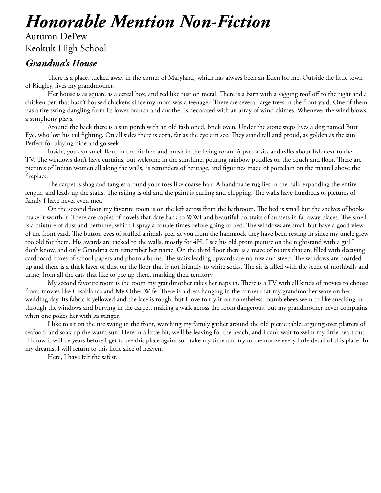# Autumn DePew Keokuk High School

### *Grandma's House*

There is a place, tucked away in the corner of Maryland, which has always been an Eden for me. Outside the little town of Ridgley, lives my grandmother.

Her house is as square as a cereal box, and red like rust on metal. There is a barn with a sagging roof off to the right and a chicken pen that hasn't housed chickens since my mom was a teenager. There are several large trees in the front yard. One of them has a tire swing dangling from its lower branch and another is decorated with an array of wind chimes. Whenever the wind blows, a symphony plays.

Around the back there is a sun porch with an old fashioned, brick oven. Under the stone steps lives a dog named Butt Eye, who lost his tail fighting. On all sides there is corn, far as the eye can see. They stand tall and proud, as golden as the sun. Perfect for playing hide and go seek.

Inside, you can smell flour in the kitchen and musk in the living room. A parrot sits and talks about fish next to the TV. The windows don't have curtains, but welcome in the sunshine, pouring rainbow puddles on the couch and floor. There are pictures of Indian women all along the walls, as reminders of heritage, and figurines made of porcelain on the mantel above the fireplace.

The carpet is shag and tangles around your toes like coarse hair. A handmade rug lies in the hall, expanding the entire length, and leads up the stairs. The railing is old and the paint is curling and chipping. The walls have hundreds of pictures of family I have never even met.

On the second floor, my favorite room is on the left across from the bathroom. The bed is small but the shelves of books make it worth it. There are copies of novels that date back to WWI and beautiful portraits of sunsets in far away places. The smell is a mixture of dust and perfume, which I spray a couple times before going to bed. The windows are small but have a good view of the front yard. The button eyes of stuffed animals peer at you from the hammock they have been resting in since my uncle grew too old for them. His awards are tacked to the walls, mostly for 4H. I see his old prom picture on the nightstand with a girl I don't know, and only Grandma can remember her name. On the third floor there is a maze of rooms that are filled with decaying cardboard boxes of school papers and photo albums. The stairs leading upwards are narrow and steep. The windows are boarded up and there is a thick layer of dust on the floor that is not friendly to white socks. The air is filled with the scent of mothballs and urine, from all the cats that like to pee up there, marking their territory.

My second favorite room is the room my grandmother takes her naps in. There is a TV with all kinds of movies to choose from; movies like Casablanca and My Other Wife. There is a dress hanging in the corner that my grandmother wore on her wedding day. Its fabric is yellowed and the lace is rough, but I love to try it on nonetheless. Bumblebees seem to like sneaking in through the windows and burying in the carpet, making a walk across the room dangerous, but my grandmother never complains when one pokes her with its stinger.

I like to sit on the tire swing in the front, watching my family gather around the old picnic table, arguing over platters of seafood, and soak up the warm sun. Here in a little bit, we'll be leaving for the beach, and I can't wait to swim my little heart out. I know it will be years before I get to see this place again, so I take my time and try to memorize every little detail of this place. In my dreams, I will return to this little slice of heaven.

Here, I have felt the safest.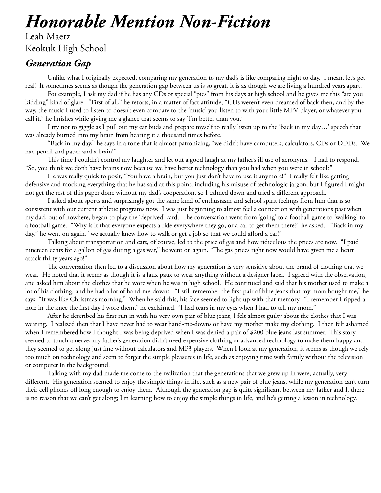Leah Maerz Keokuk High School

# *Generation Gap*

Unlike what I originally expected, comparing my generation to my dad's is like comparing night to day. I mean, let's get real! It sometimes seems as though the generation gap between us is so great, it is as though we are living a hundred years apart.

For example, I ask my dad if he has any CDs or special "pics" from his days at high school and he gives me this "are you kidding" kind of glare. "First of all," he retorts, in a matter of fact attitude, "CDs weren't even dreamed of back then, and by the way, the music I used to listen to doesn't even compare to the 'music' you listen to with your little MPV player, or whatever you call it," he finishes while giving me a glance that seems to say 'I'm better than you.'

I try not to giggle as I pull out my ear buds and prepare myself to really listen up to the 'back in my day…' speech that was already burned into my brain from hearing it a thousand times before.

"Back in my day," he says in a tone that is almost patronizing, "we didn't have computers, calculators, CDs or DDDs. We had pencil and paper and a brain!"

This time I couldn't control my laughter and let out a good laugh at my father's ill use of acronyms. I had to respond, "So, you think we don't have brains now because we have better technology than you had when you were in school?"

He was really quick to posit, "You have a brain, but you just don't have to use it anymore!" I really felt like getting defensive and mocking everything that he has said at this point, including his misuse of technologic jargon, but I figured I might not get the rest of this paper done without my dad's cooperation, so I calmed down and tried a different approach.

I asked about sports and surprisingly got the same kind of enthusiasm and school spirit feelings from him that is so consistent with our current athletic programs now. I was just beginning to almost feel a connection with generations past when my dad, out of nowhere, began to play the 'deprived' card. The conversation went from 'going' to a football game to 'walking' to a football game. "Why is it that everyone expects a ride everywhere they go, or a car to get them there?" he asked. "Back in my day," he went on again, "we actually knew how to walk or get a job so that we could afford a car!"

Talking about transportation and cars, of course, led to the price of gas and how ridiculous the prices are now. "I paid nineteen cents for a gallon of gas during a gas war," he went on again. "The gas prices right now would have given me a heart attack thirty years ago!"

The conversation then led to a discussion about how my generation is very sensitive about the brand of clothing that we wear. He noted that it seems as though it is a faux paux to wear anything without a designer label. I agreed with the observation, and asked him about the clothes that he wore when he was in high school. He continued and said that his mother used to make a lot of his clothing, and he had a lot of hand-me-downs. "I still remember the first pair of blue jeans that my mom bought me," he says. "It was like Christmas morning." When he said this, his face seemed to light up with that memory. "I remember I ripped a hole in the knee the first day I wore them," he exclaimed. "I had tears in my eyes when I had to tell my mom."

After he described his first run in with his very own pair of blue jeans, I felt almost guilty about the clothes that I was wearing. I realized then that I have never had to wear hand-me-downs or have my mother make my clothing. I then felt ashamed when I remembered how I thought I was being deprived when I was denied a pair of \$200 blue jeans last summer. This story seemed to touch a nerve; my father's generation didn't need expensive clothing or advanced technology to make them happy and they seemed to get along just fine without calculators and MP3 players. When I look at my generation, it seems as though we rely too much on technology and seem to forget the simple pleasures in life, such as enjoying time with family without the television or computer in the background.

Talking with my dad made me come to the realization that the generations that we grew up in were, actually, very different. His generation seemed to enjoy the simple things in life, such as a new pair of blue jeans, while my generation can't turn their cell phones off long enough to enjoy them. Although the generation gap is quite significant between my father and I, there is no reason that we can't get along; I'm learning how to enjoy the simple things in life, and he's getting a lesson in technology.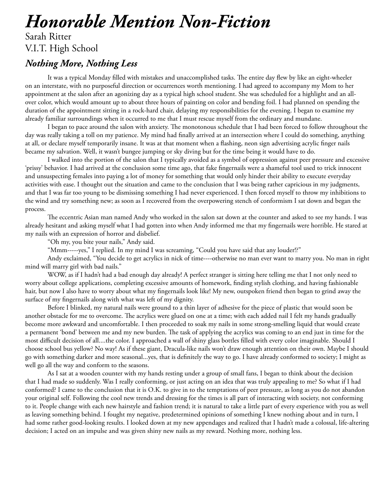Sarah Ritter V.I.T. High School

### *Nothing More, Nothing Less*

It was a typical Monday filled with mistakes and unaccomplished tasks. The entire day flew by like an eight-wheeler on an interstate, with no purposeful direction or occurrences worth mentioning. I had agreed to accompany my Mom to her appointment at the salon after an agonizing day as a typical high school student. She was scheduled for a highlight and an allover color, which would amount up to about three hours of painting on color and bending foil. I had planned on spending the duration of the appointment sitting in a rock-hard chair, delaying my responsibilities for the evening. I began to examine my already familiar surroundings when it occurred to me that I must rescue myself from the ordinary and mundane.

I began to pace around the salon with anxiety. The monotonous schedule that I had been forced to follow throughout the day was really taking a toll on my patience. My mind had finally arrived at an intersection where I could do something, anything at all, or declare myself temporarily insane. It was at that moment when a flashing, neon sign advertising acrylic finger nails became my salvation. Well, it wasn't bungee jumping or sky diving but for the time being it would have to do.

I walked into the portion of the salon that I typically avoided as a symbol of oppression against peer pressure and excessive 'prissy' behavior. I had arrived at the conclusion some time ago, that fake fingernails were a shameful tool used to trick innocent and unsuspecting females into paying a lot of money for something that would only hinder their ability to execute everyday activities with ease. I thought out the situation and came to the conclusion that I was being rather capricious in my judgments, and that I was far too young to be dismissing something I had never experienced. I then forced myself to throw my inhibitions to the wind and try something new; as soon as I recovered from the overpowering stench of conformism I sat down and began the process.

The eccentric Asian man named Andy who worked in the salon sat down at the counter and asked to see my hands. I was already hesitant and asking myself what I had gotten into when Andy informed me that my fingernails were horrible. He stared at my nails with an expression of horror and disbelief.

"Oh my, you bite your nails," Andy said.

"Mmm-----yes," I replied. In my mind I was screaming, "Could you have said that any louder!?"

Andy exclaimed, "You decide to get acrylics in nick of time----otherwise no man ever want to marry you. No man in right mind will marry girl with bad nails."

WOW, as if I hadn't had a bad enough day already! A perfect stranger is sitting here telling me that I not only need to worry about college applications, completing excessive amounts of homework, finding stylish clothing, and having fashionable hair, but now I also have to worry about what my fingernails look like! My new, outspoken friend then began to grind away the surface of my fingernails along with what was left of my dignity.

Before I blinked, my natural nails were ground to a thin layer of adhesive for the piece of plastic that would soon be another obstacle for me to overcome. The acrylics were glued on one at a time; with each added nail I felt my hands gradually become more awkward and uncomfortable. I then proceeded to soak my nails in some strong-smelling liquid that would create a permanent 'bond' between me and my new burden. The task of applying the acrylics was coming to an end just in time for the most difficult decision of all....the color. I approached a wall of shiny glass bottles filled with every color imaginable. Should I choose school bus yellow? No way! As if these giant, Dracula-like nails won't draw enough attention on their own. Maybe I should go with something darker and more seasonal...yes, that is definitely the way to go. I have already conformed to society; I might as well go all the way and conform to the seasons.

As I sat at a wooden counter with my hands resting under a group of small fans, I began to think about the decision that I had made so suddenly. Was I really conforming, or just acting on an idea that was truly appealing to me? So what if I had conformed? I came to the conclusion that it is O.K. to give in to the temptations of peer pressure, as long as you do not abandon your original self. Following the cool new trends and dressing for the times is all part of interacting with society, not conforming to it. People change with each new hairstyle and fashion trend; it is natural to take a little part of every experience with you as well as leaving something behind. I fought my negative, predetermined opinions of something I knew nothing about and in turn, I had some rather good-looking results. I looked down at my new appendages and realized that I hadn't made a colossal, life-altering decision; I acted on an impulse and was given shiny new nails as my reward. Nothing more, nothing less.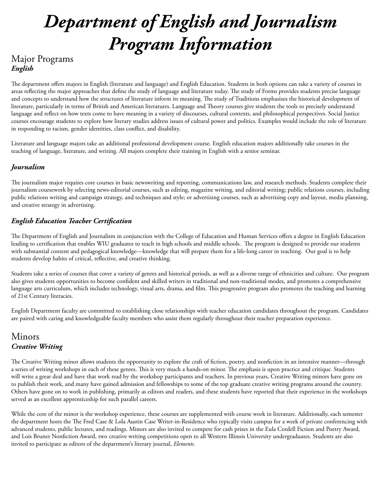# *Department of English and Journalism Program Information*

### Major Programs *English*

The department offers majors in English (literature and language) and English Education. Students in both options can take a variety of courses in areas reflecting the major approaches that define the study of language and literature today. The study of Forms provides students precise language and concepts to understand how the structures of literature inform its meaning. The study of Traditions emphasizes the historical development of literature, particularly in terms of British and American literatures. Language and Theory courses give students the tools to precisely understand language and reflect on how texts come to have meaning in a variety of discourses, cultural contexts, and philosophical perspectives. Social Justice courses encourage students to explore how literary studies address issues of cultural power and politics. Examples would include the role of literature in responding to racism, gender identities, class conflict, and disability.

Literature and language majors take an additional professional development course. English education majors additionally take courses in the teaching of language, literature, and writing. All majors complete their training in English with a senior seminar.

### *Journalism*

The journalism major requires core courses in basic newswriting and reporting, communications law, and research methods. Students complete their journalism coursework by selecting news-editorial courses, such as editing, magazine writing, and editorial writing; public relations courses, including public relations writing and campaign strategy, and techniques and style; or advertising courses, such as advertising copy and layout, media planning, and creative strategy in advertising.

### *English Education Teacher Certification*

The Department of English and Journalism in conjunction with the College of Education and Human Services offers a degree in English Education leading to certification that enables WIU graduates to teach in high schools and middle schools. The program is designed to provide our students with substantial content and pedagogical knowledge—knowledge that will prepare them for a life-long career in teaching. Our goal is to help students develop habits of critical, reflective, and creative thinking.

Students take a series of courses that cover a variety of genres and historical periods, as well as a diverse range of ethnicities and culture. Our program also gives students opportunities to become confident and skilled writers in traditional and non-traditional modes, and promotes a comprehensive language arts curriculum, which includes technology, visual arts, drama, and film. This progressive program also promotes the teaching and learning of 21st Century literacies.

English Department faculty are committed to establishing close relationships with teacher education candidates throughout the program. Candidates are paired with caring and knowledgeable faculty members who assist them regularly throughout their teacher preparation experience.

### Minors *Creative Writing*

The Creative Writing minor allows students the opportunity to explore the craft of fiction, poetry, and nonfiction in an intensive manner—through a series of writing workshops in each of these genres. This is very much a hands-on minor. The emphasis is upon practice and critique. Students will write a great deal and have that work read by the workshop participants and teachers. In previous years, Creative Writing minors have gone on to publish their work, and many have gained admission and fellowships to some of the top graduate creative writing programs around the country. Others have gone on to work in publishing, primarily as editors and readers, and these students have reported that their experience in the workshops served as an excellent apprenticeship for such parallel careers.

While the core of the minor is the workshop experience, these courses are supplemented with course work in literature. Additionally, each semester the department hosts the The Fred Case & Lola Austin Case Writer-in-Residence who typically visits campus for a week of private conferencing with advanced students, public lectures, and readings. Minors are also invited to compete for cash prizes in the Eula Cordell Fiction and Poetry Award, and Lois Bruner Nonfiction Award, two creative writing competitions open to all Western Illinois University undergraduates. Students are also invited to participate as editors of the department's literary journal, *Elements*.